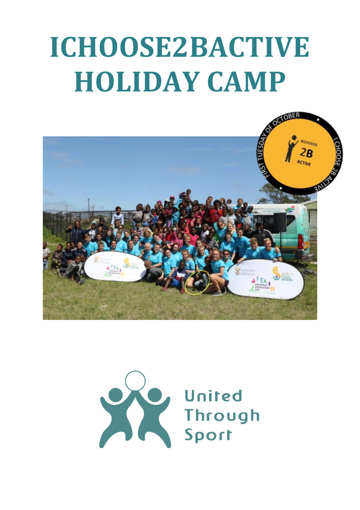# **ICHOOSE2BACTIVE HOLIDAY CAMP**



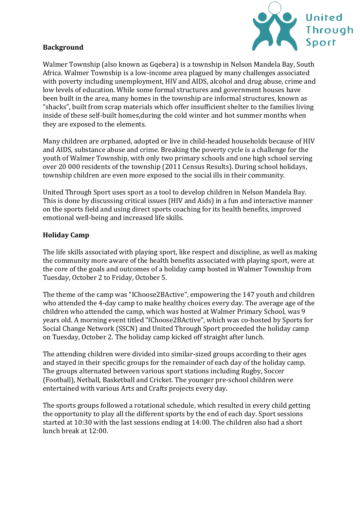

## **Background**

Walmer Township (also known as Gqebera) is a township in Nelson Mandela Bay, South Africa. Walmer Township is a low-income area plagued by many challenges associated with poverty including unemployment, HIV and AIDS, alcohol and drug abuse, crime and low levels of education. While some formal structures and government houses have been built in the area, many homes in the township are informal structures, known as "shacks", built from scrap materials which offer insufficient shelter to the families living inside of these self-built homes,during the cold winter and hot summer months when they are exposed to the elements.

Many children are orphaned, adopted or live in child-headed households because of HIV and AIDS, substance abuse and crime. Breaking the poverty cycle is a challenge for the youth of Walmer Township, with only two primary schools and one high school serving over 20 000 residents of the township (2011 Census Results). During school holidays, township children are even more exposed to the social ills in their community.

United Through Sport uses sport as a tool to develop children in Nelson Mandela Bay. This is done by discussing critical issues (HIV and Aids) in a fun and interactive manner on the sports field and using direct sports coaching for its health benefits, improved emotional well-being and increased life skills.

## **Holiday Camp**

The life skills associated with playing sport, like respect and discipline, as well as making the community more aware of the health benefits associated with playing sport, were at the core of the goals and outcomes of a holiday camp hosted in Walmer Township from Tuesday, October 2 to Friday, October 5.

The theme of the camp was "IChoose2BActive", empowering the 147 youth and children who attended the 4-day camp to make healthy choices every day. The average age of the children who attended the camp, which was hosted at Walmer Primary School, was 9 years old. A morning event titled "IChoose2BActive", which was co-hosted by Sports for Social Change Network (SSCN) and United Through Sport proceeded the holiday camp on Tuesday, October 2. The holiday camp kicked off straight after lunch.

The attending children were divided into similar-sized groups according to their ages and stayed in their specific groups for the remainder of each day of the holiday camp. The groups alternated between various sport stations including Rugby, Soccer (Football), Netball, Basketball and Cricket. The younger pre-school children were entertained with various Arts and Crafts projects every day.

The sports groups followed a rotational schedule, which resulted in every child getting the opportunity to play all the different sports by the end of each day. Sport sessions started at 10:30 with the last sessions ending at 14:00. The children also had a short lunch break at 12:00.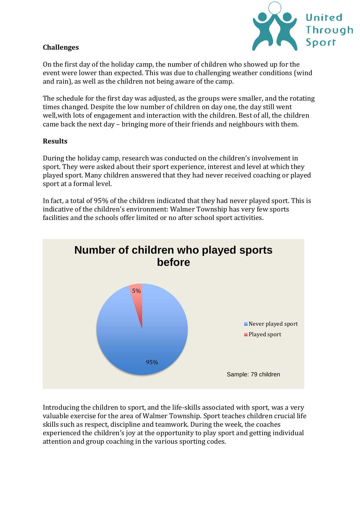

### **Challenges**

On the first day of the holiday camp, the number of children who showed up for the event were lower than expected. This was due to challenging weather conditions (wind and rain), as well as the children not being aware of the camp.

The schedule for the first day was adjusted, as the groups were smaller, and the rotating times changed. Despite the low number of children on day one, the day still went well,with lots of engagement and interaction with the children. Best of all, the children came back the next day – bringing more of their friends and neighbours with them.

#### **Results**

During the holiday camp, research was conducted on the children's involvement in sport. They were asked about their sport experience, interest and level at which they played sport. Many children answered that they had never received coaching or played sport at a formal level.

In fact, a total of 95% of the children indicated that they had never played sport. This is indicative of the children's environment: Walmer Township has very few sports facilities and the schools offer limited or no after school sport activities.



Introducing the children to sport, and the life-skills associated with sport, was a very valuable exercise for the area of Walmer Township. Sport teaches children crucial life skills such as respect, discipline and teamwork. During the week, the coaches experienced the children's joy at the opportunity to play sport and getting individual attention and group coaching in the various sporting codes.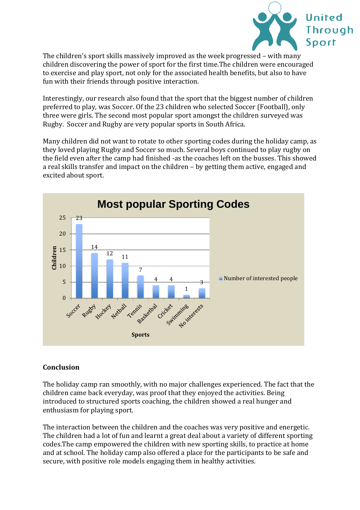

The children's sport skills massively improved as the week progressed – with many children discovering the power of sport for the first time.The children were encouraged to exercise and play sport, not only for the associated health benefits, but also to have fun with their friends through positive interaction.

Interestingly, our research also found that the sport that the biggest number of children preferred to play, was Soccer. Of the 23 children who selected Soccer (Football), only three were girls. The second most popular sport amongst the children surveyed was Rugby. Soccer and Rugby are very popular sports in South Africa.

Many children did not want to rotate to other sporting codes during the holiday camp, as they loved playing Rugby and Soccer so much. Several boys continued to play rugby on the field even after the camp had finished -as the coaches left on the busses. This showed a real skills transfer and impact on the children – by getting them active, engaged and excited about sport.



### **Conclusion**

The holiday camp ran smoothly, with no major challenges experienced. The fact that the children came back everyday, was proof that they enjoyed the activities. Being introduced to structured sports coaching, the children showed a real hunger and enthusiasm for playing sport.

The interaction between the children and the coaches was very positive and energetic. The children had a lot of fun and learnt a great deal about a variety of different sporting codes.The camp empowered the children with new sporting skills, to practice at home and at school. The holiday camp also offered a place for the participants to be safe and secure, with positive role models engaging them in healthy activities.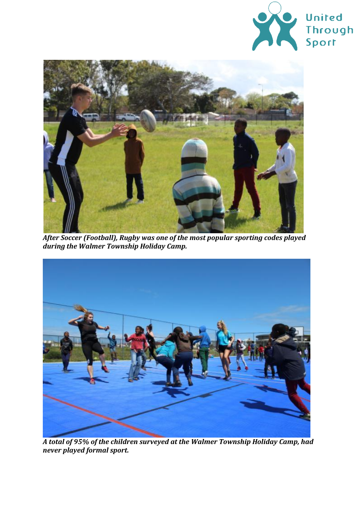



*After Soccer (Football), Rugby was one of the most popular sporting codes played during the Walmer Township Holiday Camp.*



*A total of 95% of the children surveyed at the Walmer Township Holiday Camp, had never played formal sport.*